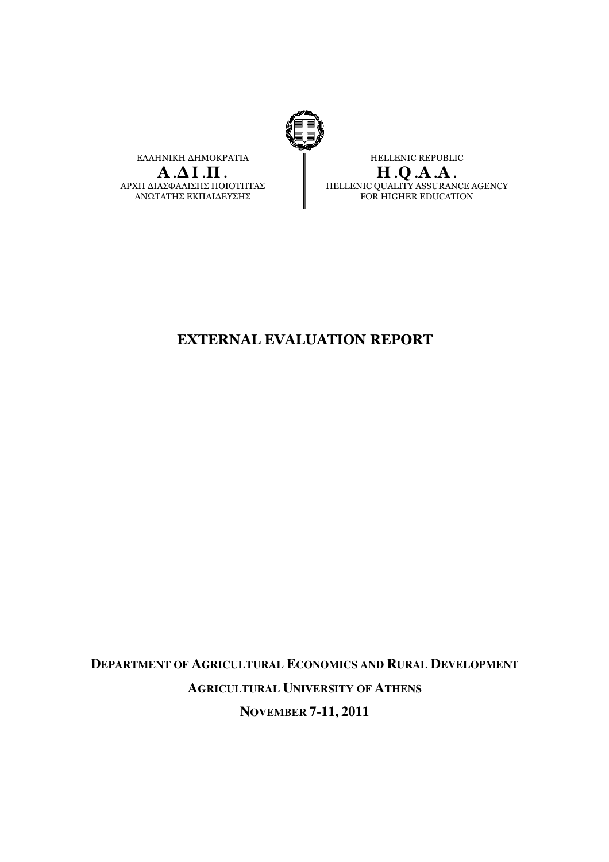

ΕΛΛΗΝΙΚΗ ∆ΗΜΟΚΡΑΤΙΑ  $A.\Delta I.\Pi.$ ΑΡΧΗ ∆ΙΑΣΦΑΛΙΣΗΣ ΠΟΙΟΤΗΤΑΣ ΑΝΩΤΑΤΗΣ ΕΚΠΑΙ∆ΕΥΣΗΣ

HELLENIC REPUBLIC H .Q .A .A . HELLENIC QUALITY ASSURANCE AGENCY FOR HIGHER EDUCATION

# EXTERNAL EVALUATION REPORT

**DEPARTMENT OF AGRICULTURAL ECONOMICS AND RURAL DEVELOPMENT AGRICULTURAL UNIVERSITY OF ATHENS NOVEMBER 7-11, 2011**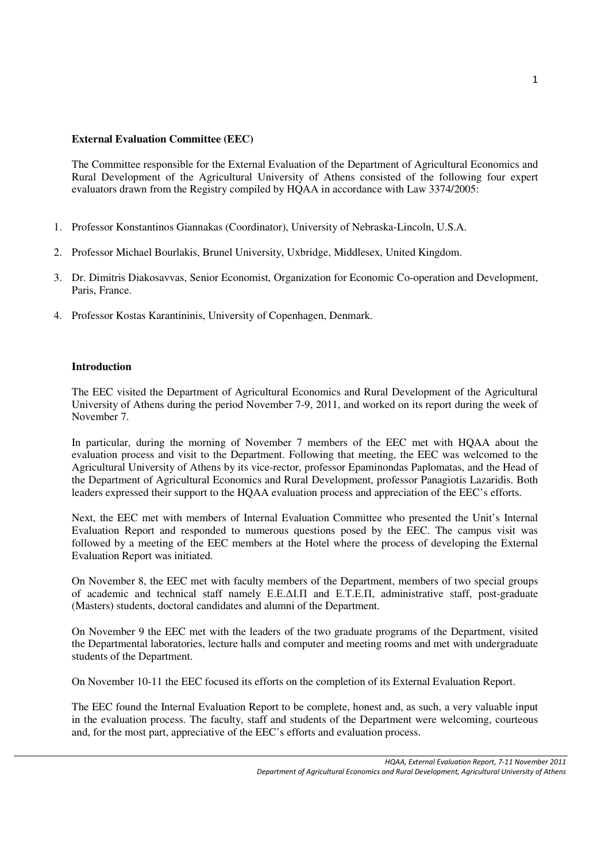# **External Evaluation Committee (EEC)**

The Committee responsible for the External Evaluation of the Department of Agricultural Economics and Rural Development of the Agricultural University of Athens consisted of the following four expert evaluators drawn from the Registry compiled by HQAA in accordance with Law 3374/2005:

- 1. Professor Konstantinos Giannakas (Coordinator), University of Nebraska-Lincoln, U.S.A.
- 2. Professor Michael Bourlakis, Brunel University, Uxbridge, Middlesex, United Kingdom.
- 3. Dr. Dimitris Diakosavvas, Senior Economist, Organization for Economic Co-operation and Development, Paris, France.
- 4. Professor Kostas Karantininis, University of Copenhagen, Denmark.

## **Introduction**

The EEC visited the Department of Agricultural Economics and Rural Development of the Agricultural University of Athens during the period November 7-9, 2011, and worked on its report during the week of November 7.

In particular, during the morning of November 7 members of the EEC met with HQAA about the evaluation process and visit to the Department. Following that meeting, the EEC was welcomed to the Agricultural University of Athens by its vice-rector, professor Epaminondas Paplomatas, and the Head of the Department of Agricultural Economics and Rural Development, professor Panagiotis Lazaridis. Both leaders expressed their support to the HQAA evaluation process and appreciation of the EEC's efforts.

Next, the EEC met with members of Internal Evaluation Committee who presented the Unit's Internal Evaluation Report and responded to numerous questions posed by the EEC. The campus visit was followed by a meeting of the EEC members at the Hotel where the process of developing the External Evaluation Report was initiated.

On November 8, the EEC met with faculty members of the Department, members of two special groups of academic and technical staff namely Ε.Ε.∆Ι.Π and Ε.Τ.Ε.Π, administrative staff, post-graduate (Masters) students, doctoral candidates and alumni of the Department.

On November 9 the EEC met with the leaders of the two graduate programs of the Department, visited the Departmental laboratories, lecture halls and computer and meeting rooms and met with undergraduate students of the Department.

On November 10-11 the EEC focused its efforts on the completion of its External Evaluation Report.

The EEC found the Internal Evaluation Report to be complete, honest and, as such, a very valuable input in the evaluation process. The faculty, staff and students of the Department were welcoming, courteous and, for the most part, appreciative of the EEC's efforts and evaluation process.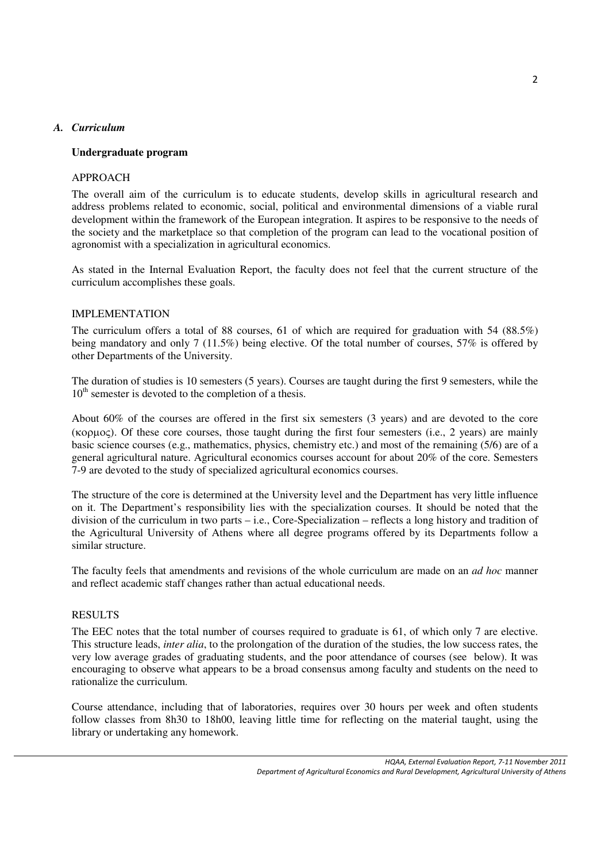## *A. Curriculum*

## **Undergraduate program**

#### APPROACH

The overall aim of the curriculum is to educate students, develop skills in agricultural research and address problems related to economic, social, political and environmental dimensions of a viable rural development within the framework of the European integration. It aspires to be responsive to the needs of the society and the marketplace so that completion of the program can lead to the vocational position of agronomist with a specialization in agricultural economics.

As stated in the Internal Evaluation Report, the faculty does not feel that the current structure of the curriculum accomplishes these goals.

#### IMPLEMENTATION

The curriculum offers a total of 88 courses, 61 of which are required for graduation with 54 (88.5%) being mandatory and only 7 (11.5%) being elective. Of the total number of courses, 57% is offered by other Departments of the University.

The duration of studies is 10 semesters (5 years). Courses are taught during the first 9 semesters, while the  $10<sup>th</sup>$  semester is devoted to the completion of a thesis.

About 60% of the courses are offered in the first six semesters (3 years) and are devoted to the core (κορµος). Of these core courses, those taught during the first four semesters (i.e., 2 years) are mainly basic science courses (e.g., mathematics, physics, chemistry etc.) and most of the remaining (5/6) are of a general agricultural nature. Agricultural economics courses account for about 20% of the core. Semesters 7-9 are devoted to the study of specialized agricultural economics courses.

The structure of the core is determined at the University level and the Department has very little influence on it. The Department's responsibility lies with the specialization courses. It should be noted that the division of the curriculum in two parts – i.e., Core-Specialization – reflects a long history and tradition of the Agricultural University of Athens where all degree programs offered by its Departments follow a similar structure.

The faculty feels that amendments and revisions of the whole curriculum are made on an *ad hoc* manner and reflect academic staff changes rather than actual educational needs.

#### RESULTS

The EEC notes that the total number of courses required to graduate is 61, of which only 7 are elective. This structure leads, *inter alia*, to the prolongation of the duration of the studies, the low success rates, the very low average grades of graduating students, and the poor attendance of courses (see below). It was encouraging to observe what appears to be a broad consensus among faculty and students on the need to rationalize the curriculum.

Course attendance, including that of laboratories, requires over 30 hours per week and often students follow classes from 8h30 to 18h00, leaving little time for reflecting on the material taught, using the library or undertaking any homework.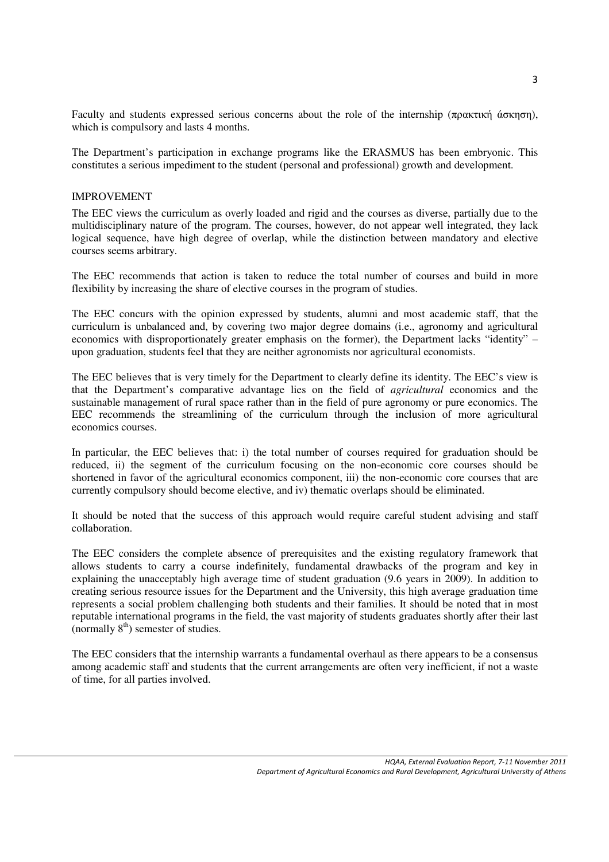Faculty and students expressed serious concerns about the role of the internship (πρακτική άσκηση), which is compulsory and lasts 4 months.

The Department's participation in exchange programs like the ERASMUS has been embryonic. This constitutes a serious impediment to the student (personal and professional) growth and development.

#### IMPROVEMENT

The EEC views the curriculum as overly loaded and rigid and the courses as diverse, partially due to the multidisciplinary nature of the program. The courses, however, do not appear well integrated, they lack logical sequence, have high degree of overlap, while the distinction between mandatory and elective courses seems arbitrary.

The EEC recommends that action is taken to reduce the total number of courses and build in more flexibility by increasing the share of elective courses in the program of studies.

The EEC concurs with the opinion expressed by students, alumni and most academic staff, that the curriculum is unbalanced and, by covering two major degree domains (i.e., agronomy and agricultural economics with disproportionately greater emphasis on the former), the Department lacks "identity" – upon graduation, students feel that they are neither agronomists nor agricultural economists.

The EEC believes that is very timely for the Department to clearly define its identity. The EEC's view is that the Department's comparative advantage lies on the field of *agricultural* economics and the sustainable management of rural space rather than in the field of pure agronomy or pure economics. The EEC recommends the streamlining of the curriculum through the inclusion of more agricultural economics courses.

In particular, the EEC believes that: i) the total number of courses required for graduation should be reduced, ii) the segment of the curriculum focusing on the non-economic core courses should be shortened in favor of the agricultural economics component, iii) the non-economic core courses that are currently compulsory should become elective, and iv) thematic overlaps should be eliminated.

It should be noted that the success of this approach would require careful student advising and staff collaboration.

The EEC considers the complete absence of prerequisites and the existing regulatory framework that allows students to carry a course indefinitely, fundamental drawbacks of the program and key in explaining the unacceptably high average time of student graduation (9.6 years in 2009). In addition to creating serious resource issues for the Department and the University, this high average graduation time represents a social problem challenging both students and their families. It should be noted that in most reputable international programs in the field, the vast majority of students graduates shortly after their last (normally  $8<sup>th</sup>$ ) semester of studies.

The EEC considers that the internship warrants a fundamental overhaul as there appears to be a consensus among academic staff and students that the current arrangements are often very inefficient, if not a waste of time, for all parties involved.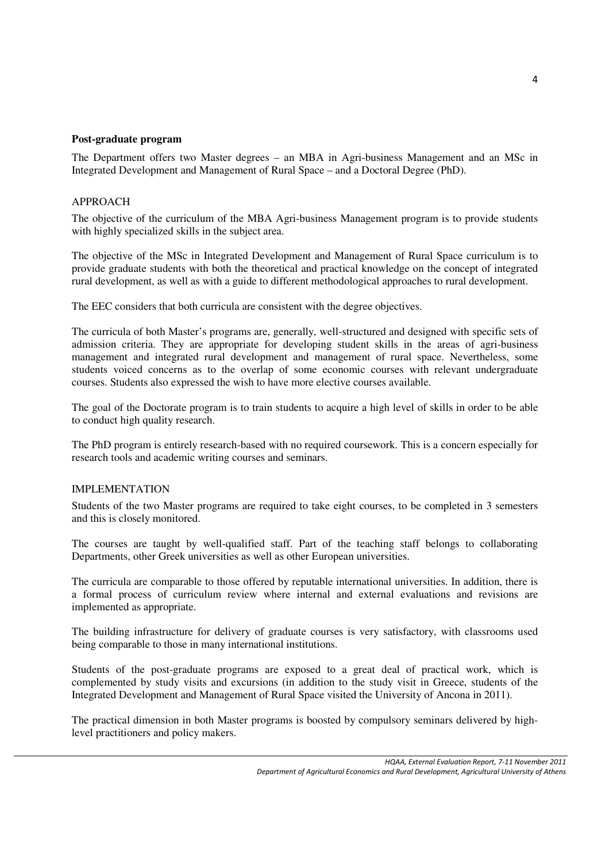#### **Post-graduate program**

The Department offers two Master degrees – an MBA in Agri-business Management and an MSc in Integrated Development and Management of Rural Space – and a Doctoral Degree (PhD).

#### APPROACH

The objective of the curriculum of the MBA Agri-business Management program is to provide students with highly specialized skills in the subject area.

The objective of the MSc in Integrated Development and Management of Rural Space curriculum is to provide graduate students with both the theoretical and practical knowledge on the concept of integrated rural development, as well as with a guide to different methodological approaches to rural development.

The EEC considers that both curricula are consistent with the degree objectives.

The curricula of both Master's programs are, generally, well-structured and designed with specific sets of admission criteria. They are appropriate for developing student skills in the areas of agri-business management and integrated rural development and management of rural space. Nevertheless, some students voiced concerns as to the overlap of some economic courses with relevant undergraduate courses. Students also expressed the wish to have more elective courses available.

The goal of the Doctorate program is to train students to acquire a high level of skills in order to be able to conduct high quality research.

The PhD program is entirely research-based with no required coursework. This is a concern especially for research tools and academic writing courses and seminars.

#### IMPLEMENTATION

Students of the two Master programs are required to take eight courses, to be completed in 3 semesters and this is closely monitored.

The courses are taught by well-qualified staff. Part of the teaching staff belongs to collaborating Departments, other Greek universities as well as other European universities.

The curricula are comparable to those offered by reputable international universities. In addition, there is a formal process of curriculum review where internal and external evaluations and revisions are implemented as appropriate.

The building infrastructure for delivery of graduate courses is very satisfactory, with classrooms used being comparable to those in many international institutions.

Students of the post-graduate programs are exposed to a great deal of practical work, which is complemented by study visits and excursions (in addition to the study visit in Greece, students of the Integrated Development and Management of Rural Space visited the University of Ancona in 2011).

The practical dimension in both Master programs is boosted by compulsory seminars delivered by highlevel practitioners and policy makers.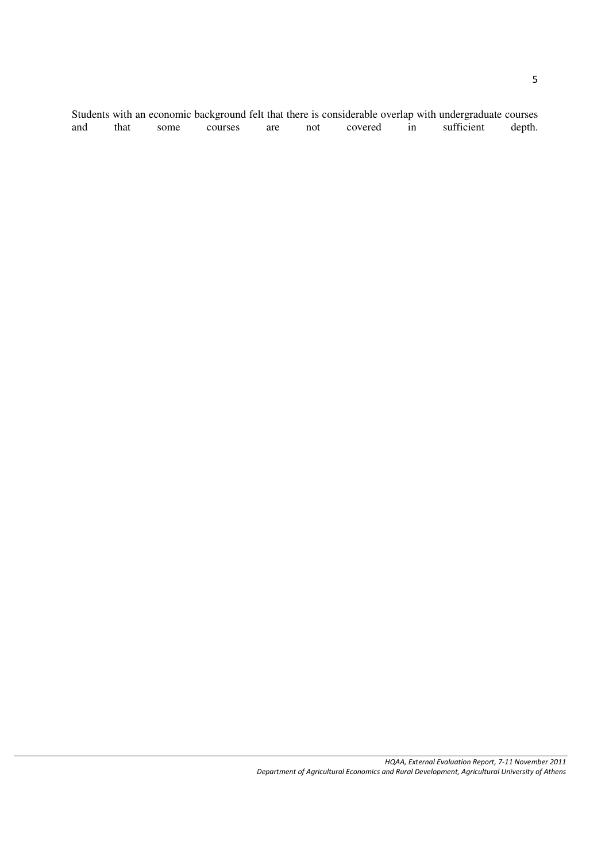Students with an economic background felt that there is considerable overlap with undergraduate courses and that some courses are not covered in sufficient depth.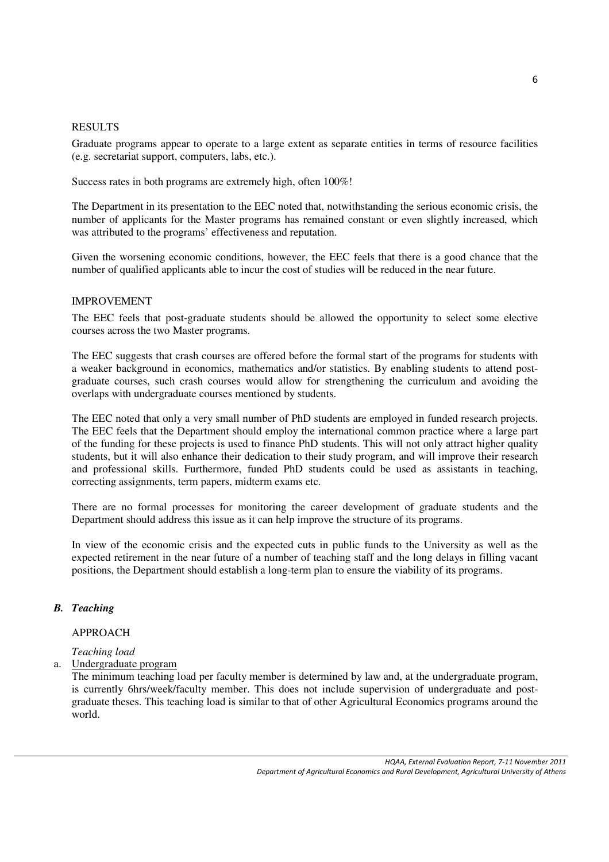#### RESULTS

Graduate programs appear to operate to a large extent as separate entities in terms of resource facilities (e.g. secretariat support, computers, labs, etc.).

Success rates in both programs are extremely high, often 100%!

The Department in its presentation to the EEC noted that, notwithstanding the serious economic crisis, the number of applicants for the Master programs has remained constant or even slightly increased, which was attributed to the programs' effectiveness and reputation.

Given the worsening economic conditions, however, the EEC feels that there is a good chance that the number of qualified applicants able to incur the cost of studies will be reduced in the near future.

#### IMPROVEMENT

The EEC feels that post-graduate students should be allowed the opportunity to select some elective courses across the two Master programs.

The EEC suggests that crash courses are offered before the formal start of the programs for students with a weaker background in economics, mathematics and/or statistics. By enabling students to attend postgraduate courses, such crash courses would allow for strengthening the curriculum and avoiding the overlaps with undergraduate courses mentioned by students.

The EEC noted that only a very small number of PhD students are employed in funded research projects. The EEC feels that the Department should employ the international common practice where a large part of the funding for these projects is used to finance PhD students. This will not only attract higher quality students, but it will also enhance their dedication to their study program, and will improve their research and professional skills. Furthermore, funded PhD students could be used as assistants in teaching, correcting assignments, term papers, midterm exams etc.

There are no formal processes for monitoring the career development of graduate students and the Department should address this issue as it can help improve the structure of its programs.

In view of the economic crisis and the expected cuts in public funds to the University as well as the expected retirement in the near future of a number of teaching staff and the long delays in filling vacant positions, the Department should establish a long-term plan to ensure the viability of its programs.

## *B. Teaching*

# APPROACH

*Teaching load* 

a. Undergraduate program

The minimum teaching load per faculty member is determined by law and, at the undergraduate program, is currently 6hrs/week/faculty member. This does not include supervision of undergraduate and postgraduate theses. This teaching load is similar to that of other Agricultural Economics programs around the world.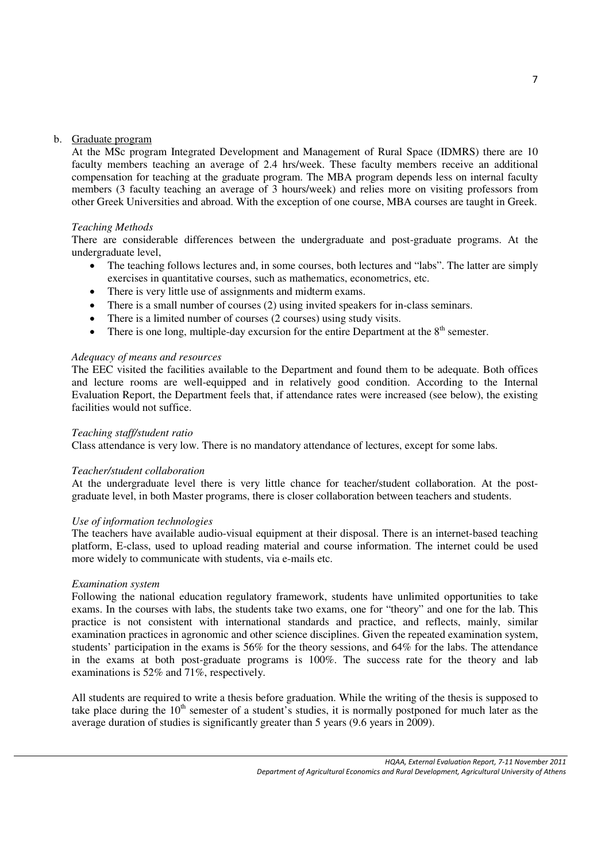#### b. Graduate program

At the MSc program Integrated Development and Management of Rural Space (IDMRS) there are 10 faculty members teaching an average of 2.4 hrs/week. These faculty members receive an additional compensation for teaching at the graduate program. The MBA program depends less on internal faculty members (3 faculty teaching an average of 3 hours/week) and relies more on visiting professors from other Greek Universities and abroad. With the exception of one course, MBA courses are taught in Greek.

#### *Teaching Methods*

There are considerable differences between the undergraduate and post-graduate programs. At the undergraduate level,

- The teaching follows lectures and, in some courses, both lectures and "labs". The latter are simply exercises in quantitative courses, such as mathematics, econometrics, etc.
- There is very little use of assignments and midterm exams.
- There is a small number of courses (2) using invited speakers for in-class seminars.
- There is a limited number of courses (2 courses) using study visits.
- There is one long, multiple-day excursion for the entire Department at the  $8<sup>th</sup>$  semester.

#### *Adequacy of means and resources*

The EEC visited the facilities available to the Department and found them to be adequate. Both offices and lecture rooms are well-equipped and in relatively good condition. According to the Internal Evaluation Report, the Department feels that, if attendance rates were increased (see below), the existing facilities would not suffice.

#### *Teaching staff/student ratio*

Class attendance is very low. There is no mandatory attendance of lectures, except for some labs.

#### *Teacher/student collaboration*

At the undergraduate level there is very little chance for teacher/student collaboration. At the postgraduate level, in both Master programs, there is closer collaboration between teachers and students.

#### *Use of information technologies*

The teachers have available audio-visual equipment at their disposal. There is an internet-based teaching platform, E-class, used to upload reading material and course information. The internet could be used more widely to communicate with students, via e-mails etc.

#### *Examination system*

Following the national education regulatory framework, students have unlimited opportunities to take exams. In the courses with labs, the students take two exams, one for "theory" and one for the lab. This practice is not consistent with international standards and practice, and reflects, mainly, similar examination practices in agronomic and other science disciplines. Given the repeated examination system, students' participation in the exams is 56% for the theory sessions, and 64% for the labs. The attendance in the exams at both post-graduate programs is 100%. The success rate for the theory and lab examinations is 52% and 71%, respectively.

All students are required to write a thesis before graduation. While the writing of the thesis is supposed to take place during the  $10<sup>th</sup>$  semester of a student's studies, it is normally postponed for much later as the average duration of studies is significantly greater than 5 years (9.6 years in 2009).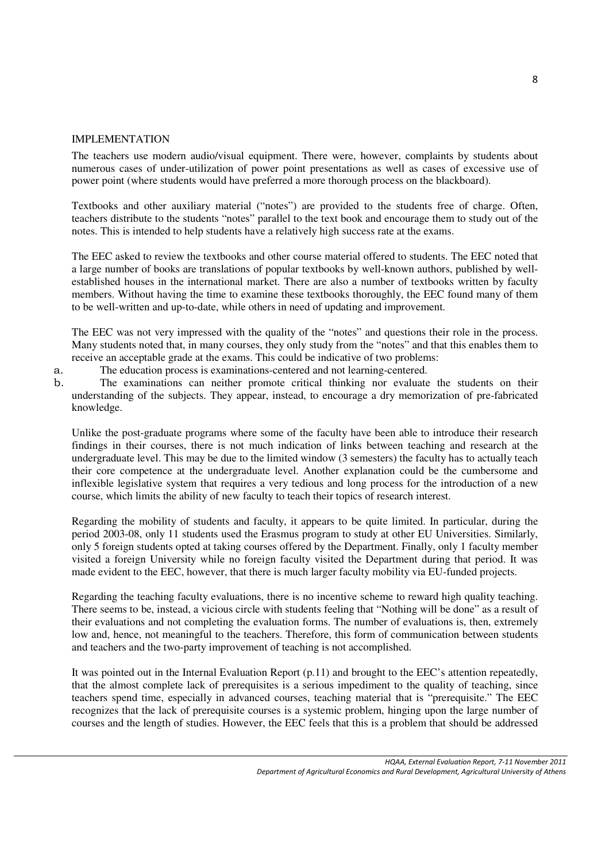#### IMPLEMENTATION

The teachers use modern audio/visual equipment. There were, however, complaints by students about numerous cases of under-utilization of power point presentations as well as cases of excessive use of power point (where students would have preferred a more thorough process on the blackboard).

Textbooks and other auxiliary material ("notes") are provided to the students free of charge. Often, teachers distribute to the students "notes" parallel to the text book and encourage them to study out of the notes. This is intended to help students have a relatively high success rate at the exams.

The EEC asked to review the textbooks and other course material offered to students. The EEC noted that a large number of books are translations of popular textbooks by well-known authors, published by wellestablished houses in the international market. There are also a number of textbooks written by faculty members. Without having the time to examine these textbooks thoroughly, the EEC found many of them to be well-written and up-to-date, while others in need of updating and improvement.

The EEC was not very impressed with the quality of the "notes" and questions their role in the process. Many students noted that, in many courses, they only study from the "notes" and that this enables them to receive an acceptable grade at the exams. This could be indicative of two problems:

a. The education process is examinations-centered and not learning-centered.

b. The examinations can neither promote critical thinking nor evaluate the students on their understanding of the subjects. They appear, instead, to encourage a dry memorization of pre-fabricated knowledge.

Unlike the post-graduate programs where some of the faculty have been able to introduce their research findings in their courses, there is not much indication of links between teaching and research at the undergraduate level. This may be due to the limited window (3 semesters) the faculty has to actually teach their core competence at the undergraduate level. Another explanation could be the cumbersome and inflexible legislative system that requires a very tedious and long process for the introduction of a new course, which limits the ability of new faculty to teach their topics of research interest.

Regarding the mobility of students and faculty, it appears to be quite limited. In particular, during the period 2003-08, only 11 students used the Erasmus program to study at other EU Universities. Similarly, only 5 foreign students opted at taking courses offered by the Department. Finally, only 1 faculty member visited a foreign University while no foreign faculty visited the Department during that period. It was made evident to the EEC, however, that there is much larger faculty mobility via EU-funded projects.

Regarding the teaching faculty evaluations, there is no incentive scheme to reward high quality teaching. There seems to be, instead, a vicious circle with students feeling that "Nothing will be done" as a result of their evaluations and not completing the evaluation forms. The number of evaluations is, then, extremely low and, hence, not meaningful to the teachers. Therefore, this form of communication between students and teachers and the two-party improvement of teaching is not accomplished.

It was pointed out in the Internal Evaluation Report (p.11) and brought to the EEC's attention repeatedly, that the almost complete lack of prerequisites is a serious impediment to the quality of teaching, since teachers spend time, especially in advanced courses, teaching material that is "prerequisite." The EEC recognizes that the lack of prerequisite courses is a systemic problem, hinging upon the large number of courses and the length of studies. However, the EEC feels that this is a problem that should be addressed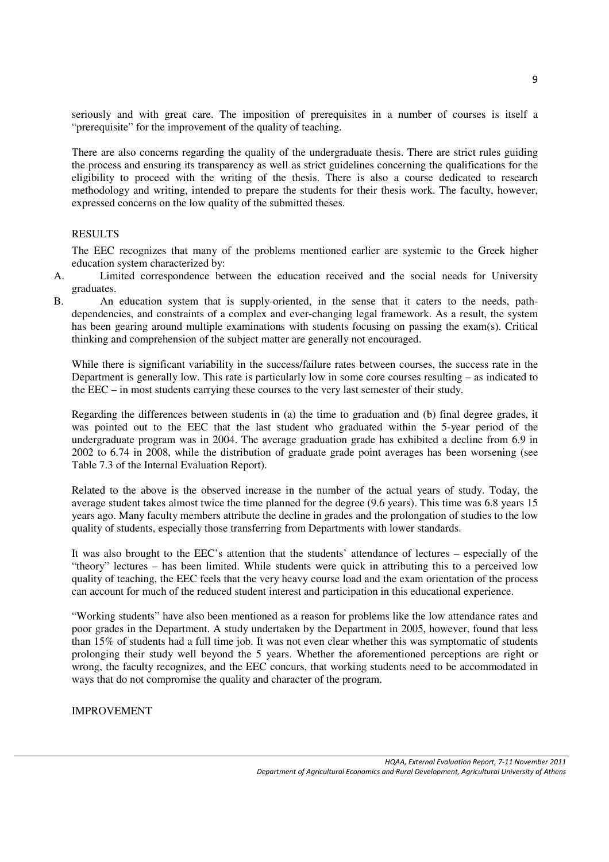seriously and with great care. The imposition of prerequisites in a number of courses is itself a "prerequisite" for the improvement of the quality of teaching.

There are also concerns regarding the quality of the undergraduate thesis. There are strict rules guiding the process and ensuring its transparency as well as strict guidelines concerning the qualifications for the eligibility to proceed with the writing of the thesis. There is also a course dedicated to research methodology and writing, intended to prepare the students for their thesis work. The faculty, however, expressed concerns on the low quality of the submitted theses.

#### RESULTS

The EEC recognizes that many of the problems mentioned earlier are systemic to the Greek higher education system characterized by:

- A. Limited correspondence between the education received and the social needs for University graduates.
- B. An education system that is supply-oriented, in the sense that it caters to the needs, pathdependencies, and constraints of a complex and ever-changing legal framework. As a result, the system has been gearing around multiple examinations with students focusing on passing the exam(s). Critical thinking and comprehension of the subject matter are generally not encouraged.

While there is significant variability in the success/failure rates between courses, the success rate in the Department is generally low. This rate is particularly low in some core courses resulting – as indicated to the EEC – in most students carrying these courses to the very last semester of their study.

Regarding the differences between students in (a) the time to graduation and (b) final degree grades, it was pointed out to the EEC that the last student who graduated within the 5-year period of the undergraduate program was in 2004. The average graduation grade has exhibited a decline from 6.9 in 2002 to 6.74 in 2008, while the distribution of graduate grade point averages has been worsening (see Table 7.3 of the Internal Evaluation Report).

Related to the above is the observed increase in the number of the actual years of study. Today, the average student takes almost twice the time planned for the degree (9.6 years). This time was 6.8 years 15 years ago. Many faculty members attribute the decline in grades and the prolongation of studies to the low quality of students, especially those transferring from Departments with lower standards.

It was also brought to the EEC's attention that the students' attendance of lectures – especially of the "theory" lectures – has been limited. While students were quick in attributing this to a perceived low quality of teaching, the EEC feels that the very heavy course load and the exam orientation of the process can account for much of the reduced student interest and participation in this educational experience.

"Working students" have also been mentioned as a reason for problems like the low attendance rates and poor grades in the Department. A study undertaken by the Department in 2005, however, found that less than 15% of students had a full time job. It was not even clear whether this was symptomatic of students prolonging their study well beyond the 5 years. Whether the aforementioned perceptions are right or wrong, the faculty recognizes, and the EEC concurs, that working students need to be accommodated in ways that do not compromise the quality and character of the program.

IMPROVEMENT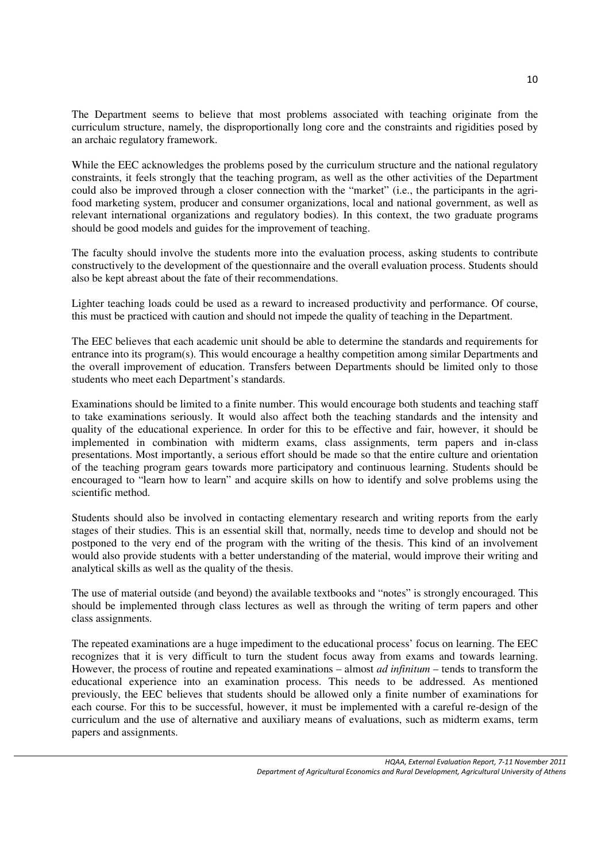The Department seems to believe that most problems associated with teaching originate from the curriculum structure, namely, the disproportionally long core and the constraints and rigidities posed by an archaic regulatory framework.

While the EEC acknowledges the problems posed by the curriculum structure and the national regulatory constraints, it feels strongly that the teaching program, as well as the other activities of the Department could also be improved through a closer connection with the "market" (i.e., the participants in the agrifood marketing system, producer and consumer organizations, local and national government, as well as relevant international organizations and regulatory bodies). In this context, the two graduate programs should be good models and guides for the improvement of teaching.

The faculty should involve the students more into the evaluation process, asking students to contribute constructively to the development of the questionnaire and the overall evaluation process. Students should also be kept abreast about the fate of their recommendations.

Lighter teaching loads could be used as a reward to increased productivity and performance. Of course, this must be practiced with caution and should not impede the quality of teaching in the Department.

The EEC believes that each academic unit should be able to determine the standards and requirements for entrance into its program(s). This would encourage a healthy competition among similar Departments and the overall improvement of education. Transfers between Departments should be limited only to those students who meet each Department's standards.

Examinations should be limited to a finite number. This would encourage both students and teaching staff to take examinations seriously. It would also affect both the teaching standards and the intensity and quality of the educational experience. In order for this to be effective and fair, however, it should be implemented in combination with midterm exams, class assignments, term papers and in-class presentations. Most importantly, a serious effort should be made so that the entire culture and orientation of the teaching program gears towards more participatory and continuous learning. Students should be encouraged to "learn how to learn" and acquire skills on how to identify and solve problems using the scientific method.

Students should also be involved in contacting elementary research and writing reports from the early stages of their studies. This is an essential skill that, normally, needs time to develop and should not be postponed to the very end of the program with the writing of the thesis. This kind of an involvement would also provide students with a better understanding of the material, would improve their writing and analytical skills as well as the quality of the thesis.

The use of material outside (and beyond) the available textbooks and "notes" is strongly encouraged. This should be implemented through class lectures as well as through the writing of term papers and other class assignments.

The repeated examinations are a huge impediment to the educational process' focus on learning. The EEC recognizes that it is very difficult to turn the student focus away from exams and towards learning. However, the process of routine and repeated examinations – almost *ad infinitum* – tends to transform the educational experience into an examination process. This needs to be addressed. As mentioned previously, the EEC believes that students should be allowed only a finite number of examinations for each course. For this to be successful, however, it must be implemented with a careful re-design of the curriculum and the use of alternative and auxiliary means of evaluations, such as midterm exams, term papers and assignments.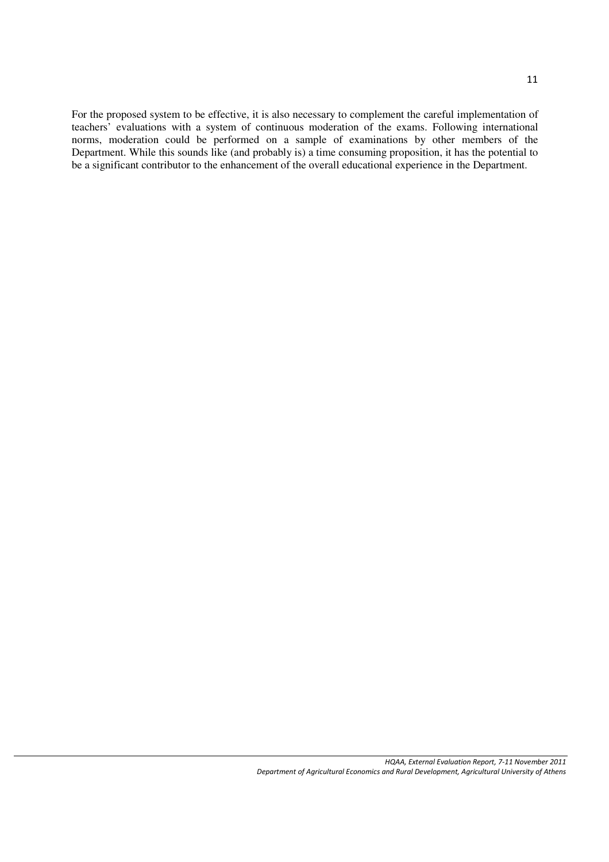For the proposed system to be effective, it is also necessary to complement the careful implementation of teachers' evaluations with a system of continuous moderation of the exams. Following international norms, moderation could be performed on a sample of examinations by other members of the Department. While this sounds like (and probably is) a time consuming proposition, it has the potential to be a significant contributor to the enhancement of the overall educational experience in the Department.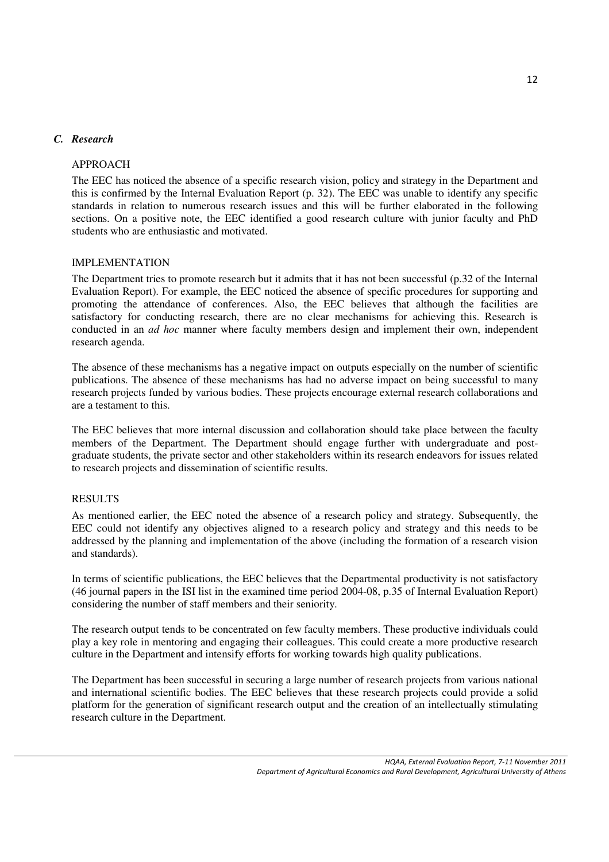#### *C. Research*

#### APPROACH

The EEC has noticed the absence of a specific research vision, policy and strategy in the Department and this is confirmed by the Internal Evaluation Report (p. 32). The EEC was unable to identify any specific standards in relation to numerous research issues and this will be further elaborated in the following sections. On a positive note, the EEC identified a good research culture with junior faculty and PhD students who are enthusiastic and motivated.

#### IMPLEMENTATION

The Department tries to promote research but it admits that it has not been successful (p.32 of the Internal Evaluation Report). For example, the EEC noticed the absence of specific procedures for supporting and promoting the attendance of conferences. Also, the EEC believes that although the facilities are satisfactory for conducting research, there are no clear mechanisms for achieving this. Research is conducted in an *ad hoc* manner where faculty members design and implement their own, independent research agenda.

The absence of these mechanisms has a negative impact on outputs especially on the number of scientific publications. The absence of these mechanisms has had no adverse impact on being successful to many research projects funded by various bodies. These projects encourage external research collaborations and are a testament to this.

The EEC believes that more internal discussion and collaboration should take place between the faculty members of the Department. The Department should engage further with undergraduate and postgraduate students, the private sector and other stakeholders within its research endeavors for issues related to research projects and dissemination of scientific results.

#### RESULTS

As mentioned earlier, the EEC noted the absence of a research policy and strategy. Subsequently, the EEC could not identify any objectives aligned to a research policy and strategy and this needs to be addressed by the planning and implementation of the above (including the formation of a research vision and standards).

In terms of scientific publications, the EEC believes that the Departmental productivity is not satisfactory (46 journal papers in the ISI list in the examined time period 2004-08, p.35 of Internal Evaluation Report) considering the number of staff members and their seniority.

The research output tends to be concentrated on few faculty members. These productive individuals could play a key role in mentoring and engaging their colleagues. This could create a more productive research culture in the Department and intensify efforts for working towards high quality publications.

The Department has been successful in securing a large number of research projects from various national and international scientific bodies. The EEC believes that these research projects could provide a solid platform for the generation of significant research output and the creation of an intellectually stimulating research culture in the Department.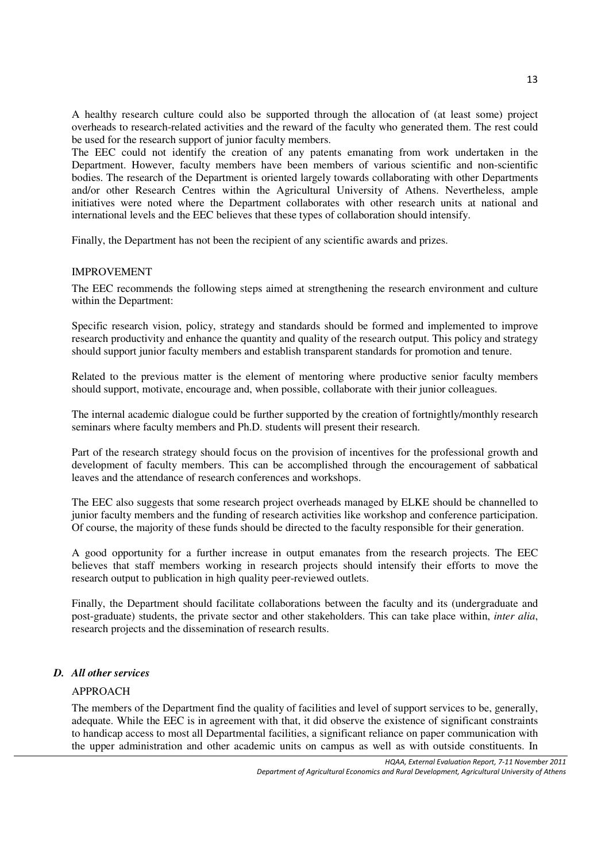A healthy research culture could also be supported through the allocation of (at least some) project overheads to research-related activities and the reward of the faculty who generated them. The rest could be used for the research support of junior faculty members.

The EEC could not identify the creation of any patents emanating from work undertaken in the Department. However, faculty members have been members of various scientific and non-scientific bodies. The research of the Department is oriented largely towards collaborating with other Departments and/or other Research Centres within the Agricultural University of Athens. Nevertheless, ample initiatives were noted where the Department collaborates with other research units at national and international levels and the EEC believes that these types of collaboration should intensify.

Finally, the Department has not been the recipient of any scientific awards and prizes.

#### IMPROVEMENT

The EEC recommends the following steps aimed at strengthening the research environment and culture within the Department:

Specific research vision, policy, strategy and standards should be formed and implemented to improve research productivity and enhance the quantity and quality of the research output. This policy and strategy should support junior faculty members and establish transparent standards for promotion and tenure.

Related to the previous matter is the element of mentoring where productive senior faculty members should support, motivate, encourage and, when possible, collaborate with their junior colleagues.

The internal academic dialogue could be further supported by the creation of fortnightly/monthly research seminars where faculty members and Ph.D. students will present their research.

Part of the research strategy should focus on the provision of incentives for the professional growth and development of faculty members. This can be accomplished through the encouragement of sabbatical leaves and the attendance of research conferences and workshops.

The EEC also suggests that some research project overheads managed by ELKE should be channelled to junior faculty members and the funding of research activities like workshop and conference participation. Of course, the majority of these funds should be directed to the faculty responsible for their generation.

A good opportunity for a further increase in output emanates from the research projects. The EEC believes that staff members working in research projects should intensify their efforts to move the research output to publication in high quality peer-reviewed outlets.

Finally, the Department should facilitate collaborations between the faculty and its (undergraduate and post-graduate) students, the private sector and other stakeholders. This can take place within, *inter alia*, research projects and the dissemination of research results.

#### *D. All other services*

#### APPROACH

The members of the Department find the quality of facilities and level of support services to be, generally, adequate. While the EEC is in agreement with that, it did observe the existence of significant constraints to handicap access to most all Departmental facilities, a significant reliance on paper communication with the upper administration and other academic units on campus as well as with outside constituents. In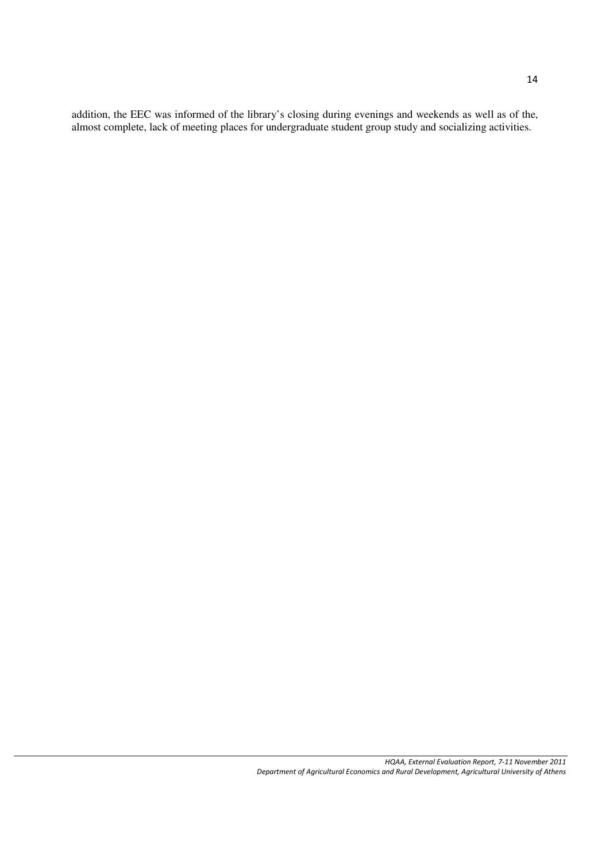addition, the EEC was informed of the library's closing during evenings and weekends as well as of the, almost complete, lack of meeting places for undergraduate student group study and socializing activities.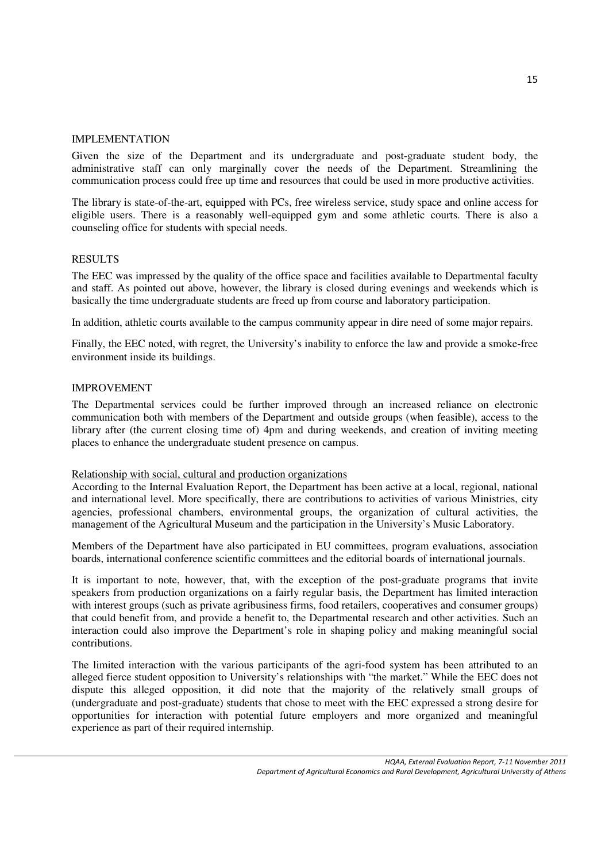#### IMPLEMENTATION

Given the size of the Department and its undergraduate and post-graduate student body, the administrative staff can only marginally cover the needs of the Department. Streamlining the communication process could free up time and resources that could be used in more productive activities.

The library is state-of-the-art, equipped with PCs, free wireless service, study space and online access for eligible users. There is a reasonably well-equipped gym and some athletic courts. There is also a counseling office for students with special needs.

#### RESULTS

The EEC was impressed by the quality of the office space and facilities available to Departmental faculty and staff. As pointed out above, however, the library is closed during evenings and weekends which is basically the time undergraduate students are freed up from course and laboratory participation.

In addition, athletic courts available to the campus community appear in dire need of some major repairs.

Finally, the EEC noted, with regret, the University's inability to enforce the law and provide a smoke-free environment inside its buildings.

#### IMPROVEMENT

The Departmental services could be further improved through an increased reliance on electronic communication both with members of the Department and outside groups (when feasible), access to the library after (the current closing time of) 4pm and during weekends, and creation of inviting meeting places to enhance the undergraduate student presence on campus.

#### Relationship with social, cultural and production organizations

According to the Internal Evaluation Report, the Department has been active at a local, regional, national and international level. More specifically, there are contributions to activities of various Ministries, city agencies, professional chambers, environmental groups, the organization of cultural activities, the management of the Agricultural Museum and the participation in the University's Music Laboratory.

Members of the Department have also participated in EU committees, program evaluations, association boards, international conference scientific committees and the editorial boards of international journals.

It is important to note, however, that, with the exception of the post-graduate programs that invite speakers from production organizations on a fairly regular basis, the Department has limited interaction with interest groups (such as private agribusiness firms, food retailers, cooperatives and consumer groups) that could benefit from, and provide a benefit to, the Departmental research and other activities. Such an interaction could also improve the Department's role in shaping policy and making meaningful social contributions.

The limited interaction with the various participants of the agri-food system has been attributed to an alleged fierce student opposition to University's relationships with "the market." While the EEC does not dispute this alleged opposition, it did note that the majority of the relatively small groups of (undergraduate and post-graduate) students that chose to meet with the EEC expressed a strong desire for opportunities for interaction with potential future employers and more organized and meaningful experience as part of their required internship.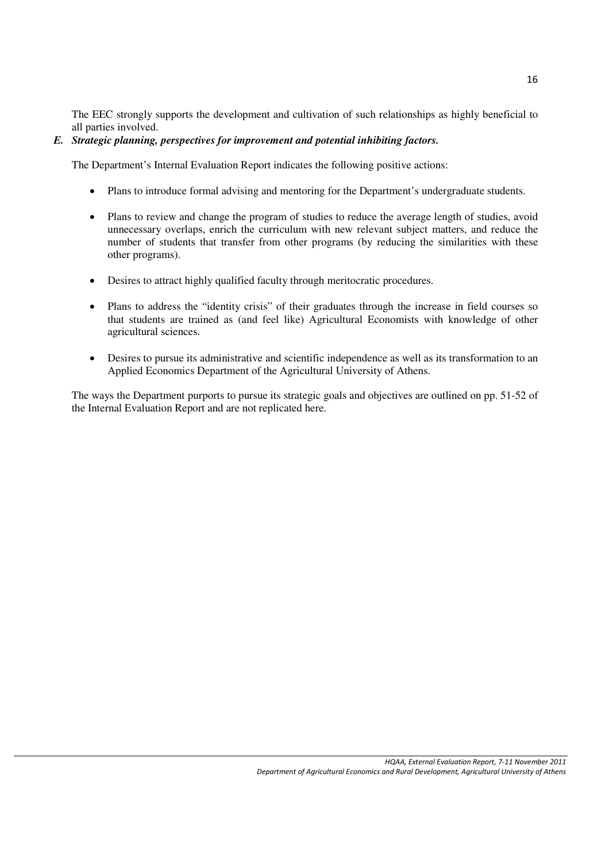The EEC strongly supports the development and cultivation of such relationships as highly beneficial to all parties involved.

# *E. Strategic planning, perspectives for improvement and potential inhibiting factors.*

The Department's Internal Evaluation Report indicates the following positive actions:

- Plans to introduce formal advising and mentoring for the Department's undergraduate students.
- Plans to review and change the program of studies to reduce the average length of studies, avoid unnecessary overlaps, enrich the curriculum with new relevant subject matters, and reduce the number of students that transfer from other programs (by reducing the similarities with these other programs).
- Desires to attract highly qualified faculty through meritocratic procedures.
- Plans to address the "identity crisis" of their graduates through the increase in field courses so that students are trained as (and feel like) Agricultural Economists with knowledge of other agricultural sciences.
- Desires to pursue its administrative and scientific independence as well as its transformation to an Applied Economics Department of the Agricultural University of Athens.

The ways the Department purports to pursue its strategic goals and objectives are outlined on pp. 51-52 of the Internal Evaluation Report and are not replicated here.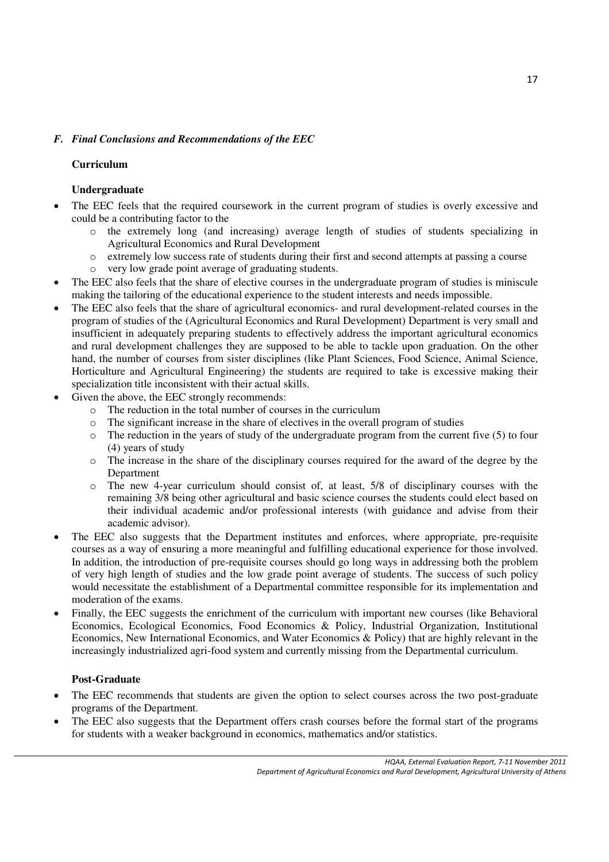# *F. Final Conclusions and Recommendations of the EEC*

# **Curriculum**

# **Undergraduate**

- The EEC feels that the required coursework in the current program of studies is overly excessive and could be a contributing factor to the
	- o the extremely long (and increasing) average length of studies of students specializing in Agricultural Economics and Rural Development
	- o extremely low success rate of students during their first and second attempts at passing a course
	- o very low grade point average of graduating students.
- The EEC also feels that the share of elective courses in the undergraduate program of studies is miniscule making the tailoring of the educational experience to the student interests and needs impossible.
- The EEC also feels that the share of agricultural economics- and rural development-related courses in the program of studies of the (Agricultural Economics and Rural Development) Department is very small and insufficient in adequately preparing students to effectively address the important agricultural economics and rural development challenges they are supposed to be able to tackle upon graduation. On the other hand, the number of courses from sister disciplines (like Plant Sciences, Food Science, Animal Science, Horticulture and Agricultural Engineering) the students are required to take is excessive making their specialization title inconsistent with their actual skills.
- Given the above, the EEC strongly recommends:
	- o The reduction in the total number of courses in the curriculum
	- $\circ$  The significant increase in the share of electives in the overall program of studies
	- o The reduction in the years of study of the undergraduate program from the current five (5) to four (4) years of study
	- o The increase in the share of the disciplinary courses required for the award of the degree by the Department
	- $\circ$  The new 4-year curriculum should consist of, at least, 5/8 of disciplinary courses with the remaining 3/8 being other agricultural and basic science courses the students could elect based on their individual academic and/or professional interests (with guidance and advise from their academic advisor).
- The EEC also suggests that the Department institutes and enforces, where appropriate, pre-requisite courses as a way of ensuring a more meaningful and fulfilling educational experience for those involved. In addition, the introduction of pre-requisite courses should go long ways in addressing both the problem of very high length of studies and the low grade point average of students. The success of such policy would necessitate the establishment of a Departmental committee responsible for its implementation and moderation of the exams.
- Finally, the EEC suggests the enrichment of the curriculum with important new courses (like Behavioral Economics, Ecological Economics, Food Economics & Policy, Industrial Organization, Institutional Economics, New International Economics, and Water Economics & Policy) that are highly relevant in the increasingly industrialized agri-food system and currently missing from the Departmental curriculum.

# **Post-Graduate**

- The EEC recommends that students are given the option to select courses across the two post-graduate programs of the Department.
- The EEC also suggests that the Department offers crash courses before the formal start of the programs for students with a weaker background in economics, mathematics and/or statistics.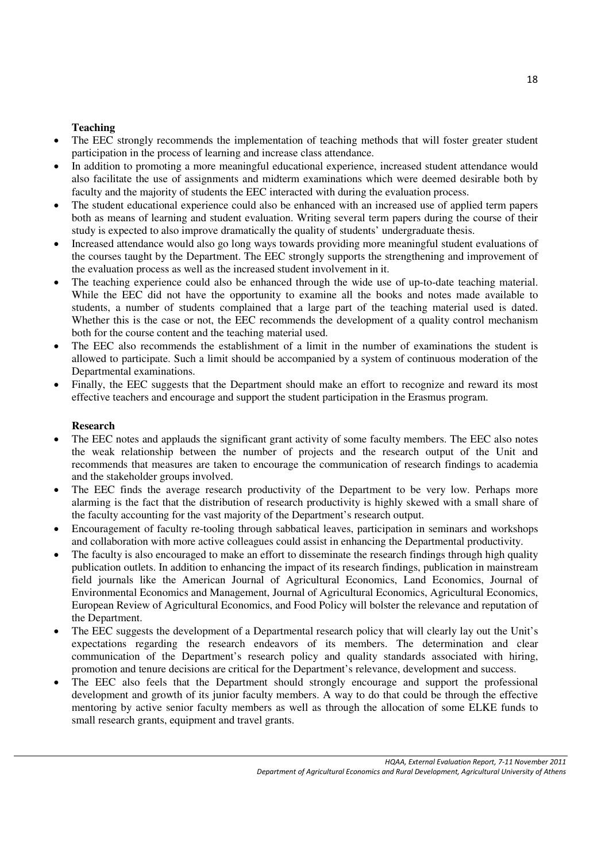# **Teaching**

- The EEC strongly recommends the implementation of teaching methods that will foster greater student participation in the process of learning and increase class attendance.
- In addition to promoting a more meaningful educational experience, increased student attendance would also facilitate the use of assignments and midterm examinations which were deemed desirable both by faculty and the majority of students the EEC interacted with during the evaluation process.
- The student educational experience could also be enhanced with an increased use of applied term papers both as means of learning and student evaluation. Writing several term papers during the course of their study is expected to also improve dramatically the quality of students' undergraduate thesis.
- Increased attendance would also go long ways towards providing more meaningful student evaluations of the courses taught by the Department. The EEC strongly supports the strengthening and improvement of the evaluation process as well as the increased student involvement in it.
- The teaching experience could also be enhanced through the wide use of up-to-date teaching material. While the EEC did not have the opportunity to examine all the books and notes made available to students, a number of students complained that a large part of the teaching material used is dated. Whether this is the case or not, the EEC recommends the development of a quality control mechanism both for the course content and the teaching material used.
- The EEC also recommends the establishment of a limit in the number of examinations the student is allowed to participate. Such a limit should be accompanied by a system of continuous moderation of the Departmental examinations.
- Finally, the EEC suggests that the Department should make an effort to recognize and reward its most effective teachers and encourage and support the student participation in the Erasmus program.

# **Research**

- The EEC notes and applauds the significant grant activity of some faculty members. The EEC also notes the weak relationship between the number of projects and the research output of the Unit and recommends that measures are taken to encourage the communication of research findings to academia and the stakeholder groups involved.
- The EEC finds the average research productivity of the Department to be very low. Perhaps more alarming is the fact that the distribution of research productivity is highly skewed with a small share of the faculty accounting for the vast majority of the Department's research output.
- Encouragement of faculty re-tooling through sabbatical leaves, participation in seminars and workshops and collaboration with more active colleagues could assist in enhancing the Departmental productivity.
- The faculty is also encouraged to make an effort to disseminate the research findings through high quality publication outlets. In addition to enhancing the impact of its research findings, publication in mainstream field journals like the American Journal of Agricultural Economics, Land Economics, Journal of Environmental Economics and Management, Journal of Agricultural Economics, Agricultural Economics, European Review of Agricultural Economics, and Food Policy will bolster the relevance and reputation of the Department.
- The EEC suggests the development of a Departmental research policy that will clearly lay out the Unit's expectations regarding the research endeavors of its members. The determination and clear communication of the Department's research policy and quality standards associated with hiring, promotion and tenure decisions are critical for the Department's relevance, development and success.
- The EEC also feels that the Department should strongly encourage and support the professional development and growth of its junior faculty members. A way to do that could be through the effective mentoring by active senior faculty members as well as through the allocation of some ELKE funds to small research grants, equipment and travel grants.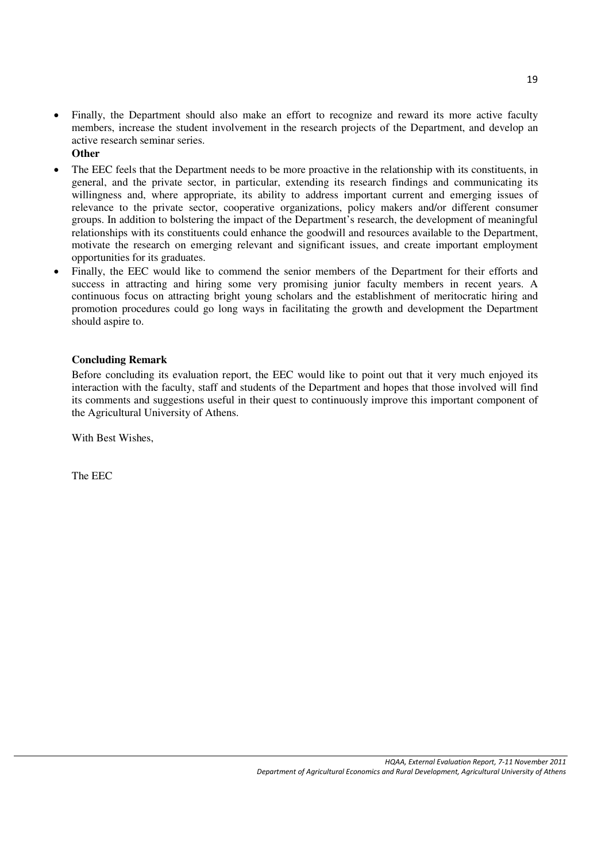- Finally, the Department should also make an effort to recognize and reward its more active faculty members, increase the student involvement in the research projects of the Department, and develop an active research seminar series.
	- **Other**
- The EEC feels that the Department needs to be more proactive in the relationship with its constituents, in general, and the private sector, in particular, extending its research findings and communicating its willingness and, where appropriate, its ability to address important current and emerging issues of relevance to the private sector, cooperative organizations, policy makers and/or different consumer groups. In addition to bolstering the impact of the Department's research, the development of meaningful relationships with its constituents could enhance the goodwill and resources available to the Department, motivate the research on emerging relevant and significant issues, and create important employment opportunities for its graduates.
- Finally, the EEC would like to commend the senior members of the Department for their efforts and success in attracting and hiring some very promising junior faculty members in recent years. A continuous focus on attracting bright young scholars and the establishment of meritocratic hiring and promotion procedures could go long ways in facilitating the growth and development the Department should aspire to.

#### **Concluding Remark**

Before concluding its evaluation report, the EEC would like to point out that it very much enjoyed its interaction with the faculty, staff and students of the Department and hopes that those involved will find its comments and suggestions useful in their quest to continuously improve this important component of the Agricultural University of Athens.

With Best Wishes,

The EEC